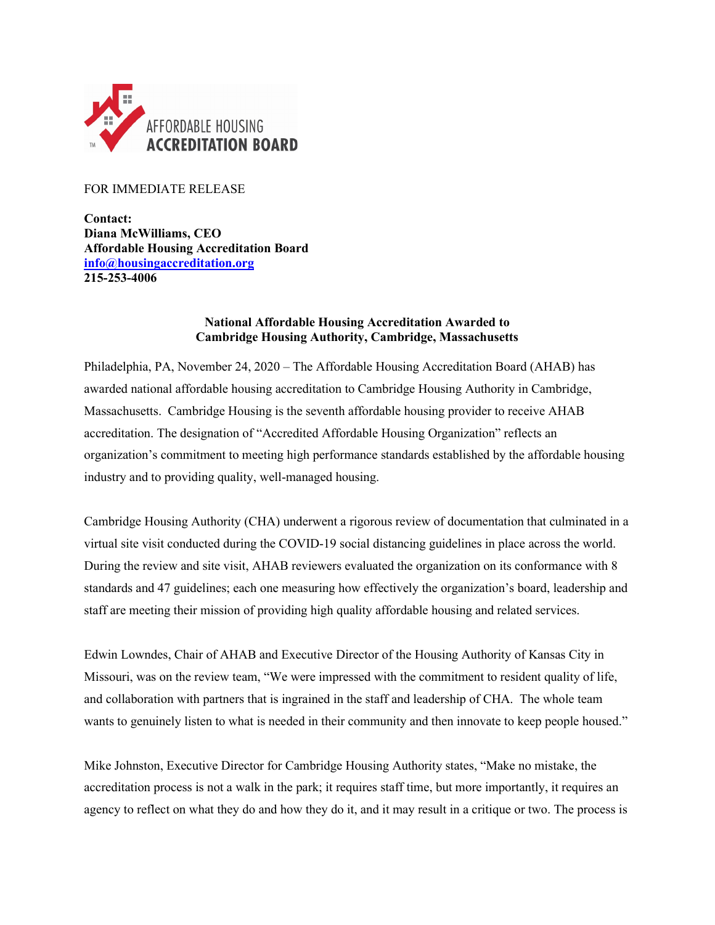

## FOR IMMEDIATE RELEASE

**Contact: Diana McWilliams, CEO Affordable Housing Accreditation Board [info@housingaccreditation.org](mailto:info@housingaccreditation.org) 215-253-4006**

## **National Affordable Housing Accreditation Awarded to Cambridge Housing Authority, Cambridge, Massachusetts**

Philadelphia, PA, November 24, 2020 – The Affordable Housing Accreditation Board (AHAB) has awarded national affordable housing accreditation to Cambridge Housing Authority in Cambridge, Massachusetts. Cambridge Housing is the seventh affordable housing provider to receive AHAB accreditation. The designation of "Accredited Affordable Housing Organization" reflects an organization's commitment to meeting high performance standards established by the affordable housing industry and to providing quality, well-managed housing.

Cambridge Housing Authority (CHA) underwent a rigorous review of documentation that culminated in a virtual site visit conducted during the COVID-19 social distancing guidelines in place across the world. During the review and site visit, AHAB reviewers evaluated the organization on its conformance with 8 standards and 47 guidelines; each one measuring how effectively the organization's board, leadership and staff are meeting their mission of providing high quality affordable housing and related services.

Edwin Lowndes, Chair of AHAB and Executive Director of the Housing Authority of Kansas City in Missouri, was on the review team, "We were impressed with the commitment to resident quality of life, and collaboration with partners that is ingrained in the staff and leadership of CHA. The whole team wants to genuinely listen to what is needed in their community and then innovate to keep people housed."

Mike Johnston, Executive Director for Cambridge Housing Authority states, "Make no mistake, the accreditation process is not a walk in the park; it requires staff time, but more importantly, it requires an agency to reflect on what they do and how they do it, and it may result in a critique or two. The process is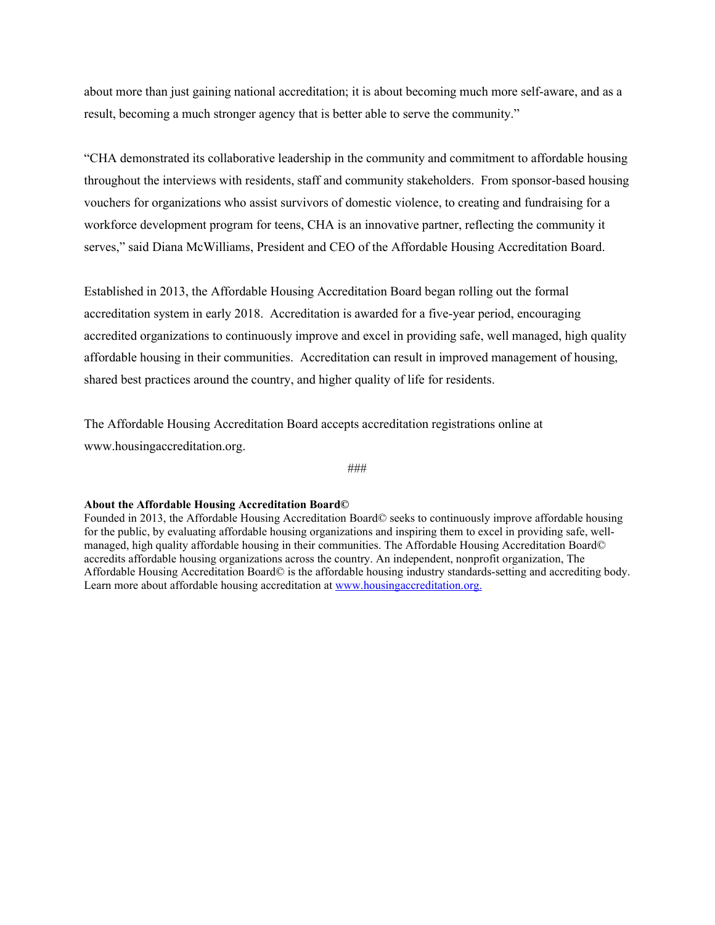about more than just gaining national accreditation; it is about becoming much more self-aware, and as a result, becoming a much stronger agency that is better able to serve the community."

"CHA demonstrated its collaborative leadership in the community and commitment to affordable housing throughout the interviews with residents, staff and community stakeholders. From sponsor-based housing vouchers for organizations who assist survivors of domestic violence, to creating and fundraising for a workforce development program for teens, CHA is an innovative partner, reflecting the community it serves," said Diana McWilliams, President and CEO of the Affordable Housing Accreditation Board.

Established in 2013, the Affordable Housing Accreditation Board began rolling out the formal accreditation system in early 2018. Accreditation is awarded for a five-year period, encouraging accredited organizations to continuously improve and excel in providing safe, well managed, high quality affordable housing in their communities. Accreditation can result in improved management of housing, shared best practices around the country, and higher quality of life for residents.

The Affordable Housing Accreditation Board accepts accreditation registrations online at www.housingaccreditation.org.

###

## **About the Affordable Housing Accreditation Board©**

Founded in 2013, the Affordable Housing Accreditation Board© seeks to continuously improve affordable housing for the public, by evaluating affordable housing organizations and inspiring them to excel in providing safe, wellmanaged, high quality affordable housing in their communities. The Affordable Housing Accreditation Board© accredits affordable housing organizations across the country. An independent, nonprofit organization, The Affordable Housing Accreditation Board© is the affordable housing industry standards-setting and accrediting body. Learn more about affordable housing accreditation at [www.housingaccreditation.org.](http://www.housingaccreditation.org/)